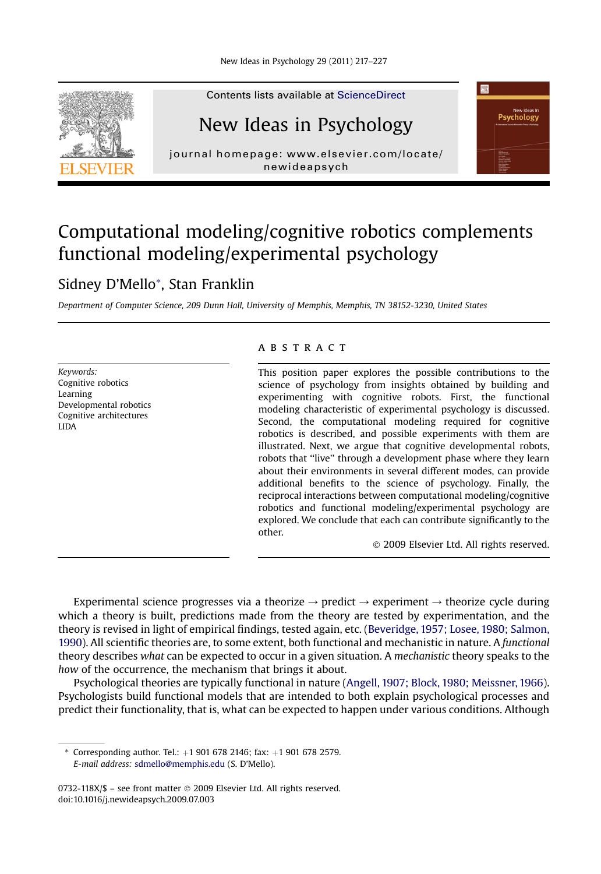

Contents lists available at [ScienceDirect](www.sciencedirect.com/science/journal/0732118X)

# New Ideas in Psychology

journal homepage: [www.elsevier.com/locate/](http://www.elsevier.com/locate/newideapsych) [newideapsych](http://www.elsevier.com/locate/newideapsych)



# Computational modeling/cognitive robotics complements functional modeling/experimental psychology

# Sidney D'Mello\*, Stan Franklin

Department of Computer Science, 209 Dunn Hall, University of Memphis, Memphis, TN 38152-3230, United States

Keywords: Cognitive robotics Learning Developmental robotics Cognitive architectures LIDA

# **ABSTRACT**

This position paper explores the possible contributions to the science of psychology from insights obtained by building and experimenting with cognitive robots. First, the functional modeling characteristic of experimental psychology is discussed. Second, the computational modeling required for cognitive robotics is described, and possible experiments with them are illustrated. Next, we argue that cognitive developmental robots, robots that ''live'' through a development phase where they learn about their environments in several different modes, can provide additional benefits to the science of psychology. Finally, the reciprocal interactions between computational modeling/cognitive robotics and functional modeling/experimental psychology are explored. We conclude that each can contribute significantly to the other.

© 2009 Elsevier Ltd. All rights reserved.

Experimental science progresses via a theorize  $\rightarrow$  predict  $\rightarrow$  experiment  $\rightarrow$  theorize cycle during which a theory is built, predictions made from the theory are tested by experimentation, and the theory is revised in light of empirical findings, tested again, etc. ([Beveridge, 1957; Losee, 1980; Salmon,](#page-9-0) [1990\)](#page-9-0). All scientific theories are, to some extent, both functional and mechanistic in nature. A functional theory describes what can be expected to occur in a given situation. A mechanistic theory speaks to the how of the occurrence, the mechanism that brings it about.

Psychological theories are typically functional in nature ([Angell, 1907; Block, 1980; Meissner, 1966\)](#page-9-0). Psychologists build functional models that are intended to both explain psychological processes and predict their functionality, that is, what can be expected to happen under various conditions. Although

<sup>\*</sup> Corresponding author. Tel.:  $+1$  901 678 2146; fax:  $+1$  901 678 2579. E-mail address: [sdmello@memphis.edu](mailto:sdmello@memphis.edu) (S. D'Mello).

<sup>0732-118</sup>X/\$ – see front matter © 2009 Elsevier Ltd. All rights reserved. doi:10.1016/j.newideapsych.2009.07.003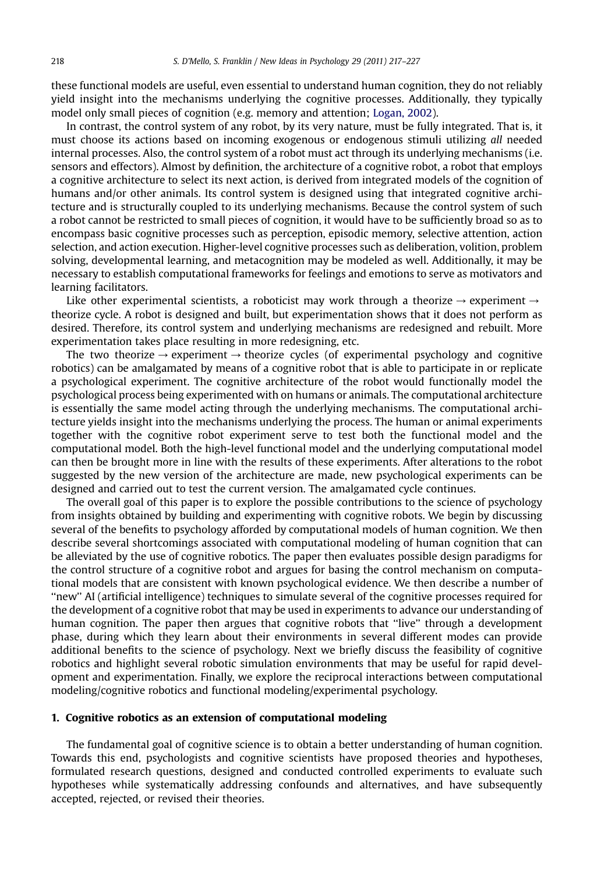these functional models are useful, even essential to understand human cognition, they do not reliably yield insight into the mechanisms underlying the cognitive processes. Additionally, they typically model only small pieces of cognition (e.g. memory and attention; [Logan, 2002\)](#page-10-0).

In contrast, the control system of any robot, by its very nature, must be fully integrated. That is, it must choose its actions based on incoming exogenous or endogenous stimuli utilizing all needed internal processes. Also, the control system of a robot must act through its underlying mechanisms (i.e. sensors and effectors). Almost by definition, the architecture of a cognitive robot, a robot that employs a cognitive architecture to select its next action, is derived from integrated models of the cognition of humans and/or other animals. Its control system is designed using that integrated cognitive architecture and is structurally coupled to its underlying mechanisms. Because the control system of such a robot cannot be restricted to small pieces of cognition, it would have to be sufficiently broad so as to encompass basic cognitive processes such as perception, episodic memory, selective attention, action selection, and action execution. Higher-level cognitive processes such as deliberation, volition, problem solving, developmental learning, and metacognition may be modeled as well. Additionally, it may be necessary to establish computational frameworks for feelings and emotions to serve as motivators and learning facilitators.

Like other experimental scientists, a roboticist may work through a theorize  $\rightarrow$  experiment  $\rightarrow$ theorize cycle. A robot is designed and built, but experimentation shows that it does not perform as desired. Therefore, its control system and underlying mechanisms are redesigned and rebuilt. More experimentation takes place resulting in more redesigning, etc.

The two theorize  $\rightarrow$  experiment  $\rightarrow$  theorize cycles (of experimental psychology and cognitive robotics) can be amalgamated by means of a cognitive robot that is able to participate in or replicate a psychological experiment. The cognitive architecture of the robot would functionally model the psychological process being experimented with on humans or animals. The computational architecture is essentially the same model acting through the underlying mechanisms. The computational architecture yields insight into the mechanisms underlying the process. The human or animal experiments together with the cognitive robot experiment serve to test both the functional model and the computational model. Both the high-level functional model and the underlying computational model can then be brought more in line with the results of these experiments. After alterations to the robot suggested by the new version of the architecture are made, new psychological experiments can be designed and carried out to test the current version. The amalgamated cycle continues.

The overall goal of this paper is to explore the possible contributions to the science of psychology from insights obtained by building and experimenting with cognitive robots. We begin by discussing several of the benefits to psychology afforded by computational models of human cognition. We then describe several shortcomings associated with computational modeling of human cognition that can be alleviated by the use of cognitive robotics. The paper then evaluates possible design paradigms for the control structure of a cognitive robot and argues for basing the control mechanism on computational models that are consistent with known psychological evidence. We then describe a number of ''new'' AI (artificial intelligence) techniques to simulate several of the cognitive processes required for the development of a cognitive robot that may be used in experiments to advance our understanding of human cognition. The paper then argues that cognitive robots that ''live'' through a development phase, during which they learn about their environments in several different modes can provide additional benefits to the science of psychology. Next we briefly discuss the feasibility of cognitive robotics and highlight several robotic simulation environments that may be useful for rapid development and experimentation. Finally, we explore the reciprocal interactions between computational modeling/cognitive robotics and functional modeling/experimental psychology.

#### 1. Cognitive robotics as an extension of computational modeling

The fundamental goal of cognitive science is to obtain a better understanding of human cognition. Towards this end, psychologists and cognitive scientists have proposed theories and hypotheses, formulated research questions, designed and conducted controlled experiments to evaluate such hypotheses while systematically addressing confounds and alternatives, and have subsequently accepted, rejected, or revised their theories.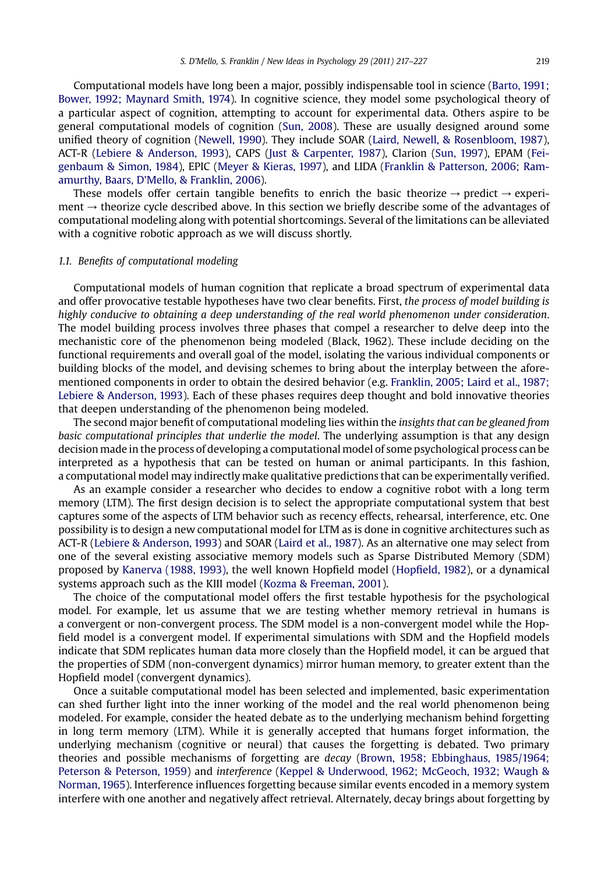Computational models have long been a major, possibly indispensable tool in science [\(Barto, 1991;](#page-9-0) [Bower, 1992; Maynard Smith, 1974](#page-9-0)). In cognitive science, they model some psychological theory of a particular aspect of cognition, attempting to account for experimental data. Others aspire to be general computational models of cognition [\(Sun, 2008](#page-10-0)). These are usually designed around some unified theory of cognition ([Newell, 1990\)](#page-10-0). They include SOAR [\(Laird, Newell, & Rosenbloom, 1987\)](#page-10-0), ACT-R ([Lebiere & Anderson, 1993\)](#page-10-0), CAPS [\(Just & Carpenter, 1987\)](#page-10-0), Clarion [\(Sun, 1997\)](#page-10-0), EPAM ([Fei](#page-9-0)[genbaum & Simon, 1984\)](#page-9-0), EPIC ([Meyer & Kieras, 1997\)](#page-10-0), and LIDA [\(Franklin & Patterson, 2006; Ram](#page-9-0)[amurthy, Baars, D'Mello, & Franklin, 2006\)](#page-9-0).

These models offer certain tangible benefits to enrich the basic theorize  $\rightarrow$  predict  $\rightarrow$  experiment  $\rightarrow$  theorize cycle described above. In this section we briefly describe some of the advantages of computational modeling along with potential shortcomings. Several of the limitations can be alleviated with a cognitive robotic approach as we will discuss shortly.

#### 1.1. Benefits of computational modeling

Computational models of human cognition that replicate a broad spectrum of experimental data and offer provocative testable hypotheses have two clear benefits. First, the process of model building is highly conducive to obtaining a deep understanding of the real world phenomenon under consideration. The model building process involves three phases that compel a researcher to delve deep into the mechanistic core of the phenomenon being modeled (Black, 1962). These include deciding on the functional requirements and overall goal of the model, isolating the various individual components or building blocks of the model, and devising schemes to bring about the interplay between the aforementioned components in order to obtain the desired behavior (e.g. [Franklin, 2005; Laird et al., 1987;](#page-9-0) [Lebiere & Anderson, 1993](#page-9-0)). Each of these phases requires deep thought and bold innovative theories that deepen understanding of the phenomenon being modeled.

The second major benefit of computational modeling lies within the insights that can be gleaned from basic computational principles that underlie the model. The underlying assumption is that any design decision made in the process of developing a computational model of some psychological process can be interpreted as a hypothesis that can be tested on human or animal participants. In this fashion, a computational model may indirectly make qualitative predictions that can be experimentally verified.

As an example consider a researcher who decides to endow a cognitive robot with a long term memory (LTM). The first design decision is to select the appropriate computational system that best captures some of the aspects of LTM behavior such as recency effects, rehearsal, interference, etc. One possibility is to design a new computational model for LTM as is done in cognitive architectures such as ACT-R [\(Lebiere & Anderson, 1993](#page-10-0)) and SOAR ([Laird et al., 1987](#page-10-0)). As an alternative one may select from one of the several existing associative memory models such as Sparse Distributed Memory (SDM) proposed by [Kanerva \(1988, 1993\),](#page-10-0) the well known Hopfield model [\(Hopfield, 1982](#page-10-0)), or a dynamical systems approach such as the KIII model [\(Kozma & Freeman, 2001\)](#page-10-0).

The choice of the computational model offers the first testable hypothesis for the psychological model. For example, let us assume that we are testing whether memory retrieval in humans is a convergent or non-convergent process. The SDM model is a non-convergent model while the Hopfield model is a convergent model. If experimental simulations with SDM and the Hopfield models indicate that SDM replicates human data more closely than the Hopfield model, it can be argued that the properties of SDM (non-convergent dynamics) mirror human memory, to greater extent than the Hopfield model (convergent dynamics).

Once a suitable computational model has been selected and implemented, basic experimentation can shed further light into the inner working of the model and the real world phenomenon being modeled. For example, consider the heated debate as to the underlying mechanism behind forgetting in long term memory (LTM). While it is generally accepted that humans forget information, the underlying mechanism (cognitive or neural) that causes the forgetting is debated. Two primary theories and possible mechanisms of forgetting are decay ([Brown, 1958; Ebbinghaus, 1985/1964;](#page-9-0) [Peterson & Peterson, 1959\)](#page-9-0) and interference ([Keppel & Underwood, 1962; McGeoch, 1932; Waugh &](#page-10-0) [Norman, 1965\)](#page-10-0). Interference influences forgetting because similar events encoded in a memory system interfere with one another and negatively affect retrieval. Alternately, decay brings about forgetting by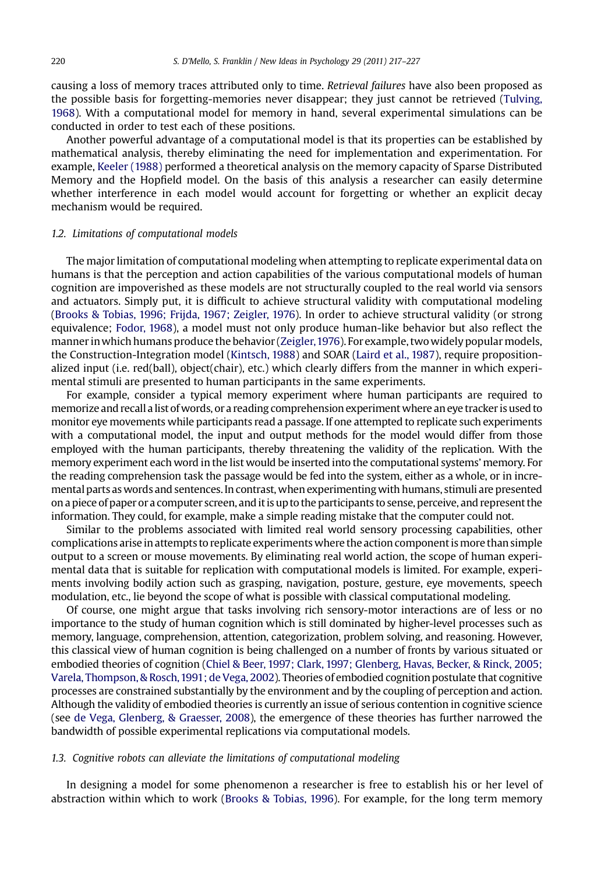causing a loss of memory traces attributed only to time. Retrieval failures have also been proposed as the possible basis for forgetting-memories never disappear; they just cannot be retrieved [\(Tulving,](#page-10-0) [1968](#page-10-0)). With a computational model for memory in hand, several experimental simulations can be conducted in order to test each of these positions.

Another powerful advantage of a computational model is that its properties can be established by mathematical analysis, thereby eliminating the need for implementation and experimentation. For example, [Keeler \(1988\)](#page-10-0) performed a theoretical analysis on the memory capacity of Sparse Distributed Memory and the Hopfield model. On the basis of this analysis a researcher can easily determine whether interference in each model would account for forgetting or whether an explicit decay mechanism would be required.

#### 1.2. Limitations of computational models

The major limitation of computational modeling when attempting to replicate experimental data on humans is that the perception and action capabilities of the various computational models of human cognition are impoverished as these models are not structurally coupled to the real world via sensors and actuators. Simply put, it is difficult to achieve structural validity with computational modeling ([Brooks & Tobias, 1996; Frijda, 1967; Zeigler, 1976\)](#page-9-0). In order to achieve structural validity (or strong equivalence; [Fodor, 1968](#page-9-0)), a model must not only produce human-like behavior but also reflect the manner in which humans produce the behavior (Zeigler, 1976). For example, two widely popular models, the Construction-Integration model ([Kintsch, 1988](#page-10-0)) and SOAR [\(Laird et al., 1987\)](#page-10-0), require propositionalized input (i.e. red(ball), object(chair), etc.) which clearly differs from the manner in which experimental stimuli are presented to human participants in the same experiments.

For example, consider a typical memory experiment where human participants are required to memorize and recall a list of words, or a reading comprehension experiment where an eye tracker is used to monitor eye movements while participants read a passage. If one attempted to replicate such experiments with a computational model, the input and output methods for the model would differ from those employed with the human participants, thereby threatening the validity of the replication. With the memory experiment each word in the list would be inserted into the computational systems' memory. For the reading comprehension task the passage would be fed into the system, either as a whole, or in incremental parts as words and sentences. In contrast, when experimenting with humans, stimuli are presented on a piece of paper or a computer screen, and itis up to the participants to sense, perceive, and represent the information. They could, for example, make a simple reading mistake that the computer could not.

Similar to the problems associated with limited real world sensory processing capabilities, other complications arise in attempts to replicate experiments where the action component is more than simple output to a screen or mouse movements. By eliminating real world action, the scope of human experimental data that is suitable for replication with computational models is limited. For example, experiments involving bodily action such as grasping, navigation, posture, gesture, eye movements, speech modulation, etc., lie beyond the scope of what is possible with classical computational modeling.

Of course, one might argue that tasks involving rich sensory-motor interactions are of less or no importance to the study of human cognition which is still dominated by higher-level processes such as memory, language, comprehension, attention, categorization, problem solving, and reasoning. However, this classical view of human cognition is being challenged on a number of fronts by various situated or embodied theories of cognition [\(Chiel & Beer, 1997; Clark, 1997; Glenberg, Havas, Becker, & Rinck, 2005;](#page-9-0) [Varela, Thompson, & Rosch,1991; de Vega, 2002\)](#page-9-0). Theories of embodied cognition postulate that cognitive processes are constrained substantially by the environment and by the coupling of perception and action. Although the validity of embodied theories is currently an issue of serious contention in cognitive science (see [de Vega, Glenberg, & Graesser, 2008\)](#page-10-0), the emergence of these theories has further narrowed the bandwidth of possible experimental replications via computational models.

#### 1.3. Cognitive robots can alleviate the limitations of computational modeling

In designing a model for some phenomenon a researcher is free to establish his or her level of abstraction within which to work [\(Brooks & Tobias, 1996\)](#page-9-0). For example, for the long term memory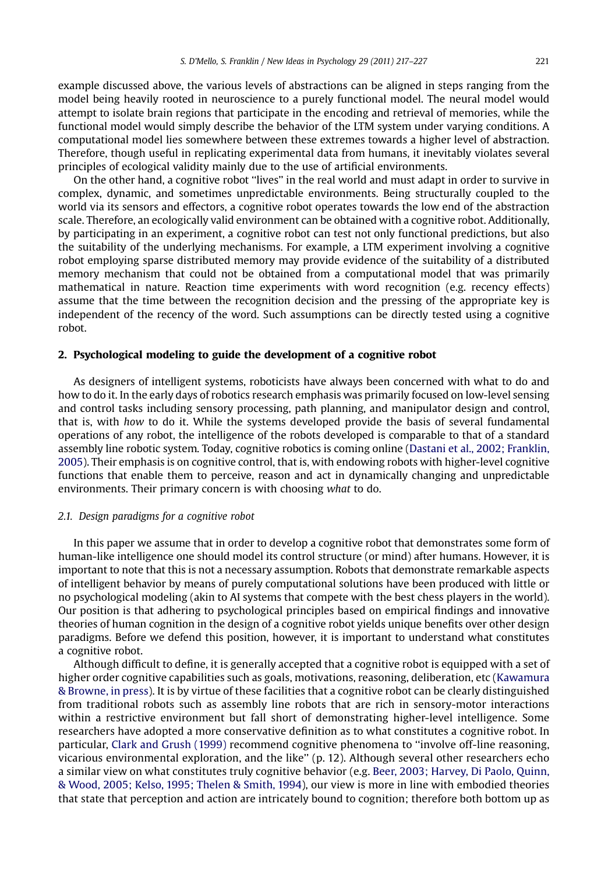example discussed above, the various levels of abstractions can be aligned in steps ranging from the model being heavily rooted in neuroscience to a purely functional model. The neural model would attempt to isolate brain regions that participate in the encoding and retrieval of memories, while the functional model would simply describe the behavior of the LTM system under varying conditions. A computational model lies somewhere between these extremes towards a higher level of abstraction. Therefore, though useful in replicating experimental data from humans, it inevitably violates several principles of ecological validity mainly due to the use of artificial environments.

On the other hand, a cognitive robot ''lives'' in the real world and must adapt in order to survive in complex, dynamic, and sometimes unpredictable environments. Being structurally coupled to the world via its sensors and effectors, a cognitive robot operates towards the low end of the abstraction scale. Therefore, an ecologically valid environment can be obtained with a cognitive robot. Additionally, by participating in an experiment, a cognitive robot can test not only functional predictions, but also the suitability of the underlying mechanisms. For example, a LTM experiment involving a cognitive robot employing sparse distributed memory may provide evidence of the suitability of a distributed memory mechanism that could not be obtained from a computational model that was primarily mathematical in nature. Reaction time experiments with word recognition (e.g. recency effects) assume that the time between the recognition decision and the pressing of the appropriate key is independent of the recency of the word. Such assumptions can be directly tested using a cognitive robot.

#### 2. Psychological modeling to guide the development of a cognitive robot

As designers of intelligent systems, roboticists have always been concerned with what to do and how to do it. In the early days of robotics research emphasis was primarily focused on low-level sensing and control tasks including sensory processing, path planning, and manipulator design and control, that is, with how to do it. While the systems developed provide the basis of several fundamental operations of any robot, the intelligence of the robots developed is comparable to that of a standard assembly line robotic system. Today, cognitive robotics is coming online ([Dastani et al., 2002; Franklin,](#page-9-0) [2005\)](#page-9-0). Their emphasis is on cognitive control, that is, with endowing robots with higher-level cognitive functions that enable them to perceive, reason and act in dynamically changing and unpredictable environments. Their primary concern is with choosing what to do.

#### 2.1. Design paradigms for a cognitive robot

In this paper we assume that in order to develop a cognitive robot that demonstrates some form of human-like intelligence one should model its control structure (or mind) after humans. However, it is important to note that this is not a necessary assumption. Robots that demonstrate remarkable aspects of intelligent behavior by means of purely computational solutions have been produced with little or no psychological modeling (akin to AI systems that compete with the best chess players in the world). Our position is that adhering to psychological principles based on empirical findings and innovative theories of human cognition in the design of a cognitive robot yields unique benefits over other design paradigms. Before we defend this position, however, it is important to understand what constitutes a cognitive robot.

Although difficult to define, it is generally accepted that a cognitive robot is equipped with a set of higher order cognitive capabilities such as goals, motivations, reasoning, deliberation, etc ([Kawamura](#page-10-0) [& Browne, in press\)](#page-10-0). It is by virtue of these facilities that a cognitive robot can be clearly distinguished from traditional robots such as assembly line robots that are rich in sensory-motor interactions within a restrictive environment but fall short of demonstrating higher-level intelligence. Some researchers have adopted a more conservative definition as to what constitutes a cognitive robot. In particular, [Clark and Grush \(1999\)](#page-9-0) recommend cognitive phenomena to ''involve off-line reasoning, vicarious environmental exploration, and the like'' (p. 12). Although several other researchers echo a similar view on what constitutes truly cognitive behavior (e.g. [Beer, 2003; Harvey, Di Paolo, Quinn,](#page-9-0) [& Wood, 2005; Kelso, 1995; Thelen & Smith, 1994\)](#page-9-0), our view is more in line with embodied theories that state that perception and action are intricately bound to cognition; therefore both bottom up as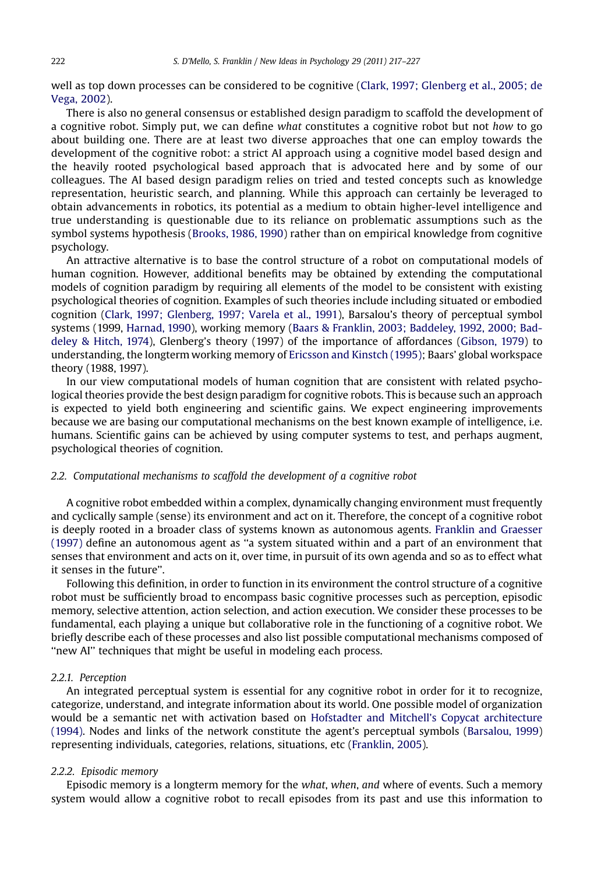well as top down processes can be considered to be cognitive ([Clark, 1997; Glenberg et al., 2005; de](#page-9-0) [Vega, 2002\)](#page-9-0).

There is also no general consensus or established design paradigm to scaffold the development of a cognitive robot. Simply put, we can define what constitutes a cognitive robot but not how to go about building one. There are at least two diverse approaches that one can employ towards the development of the cognitive robot: a strict AI approach using a cognitive model based design and the heavily rooted psychological based approach that is advocated here and by some of our colleagues. The AI based design paradigm relies on tried and tested concepts such as knowledge representation, heuristic search, and planning. While this approach can certainly be leveraged to obtain advancements in robotics, its potential as a medium to obtain higher-level intelligence and true understanding is questionable due to its reliance on problematic assumptions such as the symbol systems hypothesis ([Brooks, 1986, 1990\)](#page-9-0) rather than on empirical knowledge from cognitive psychology.

An attractive alternative is to base the control structure of a robot on computational models of human cognition. However, additional benefits may be obtained by extending the computational models of cognition paradigm by requiring all elements of the model to be consistent with existing psychological theories of cognition. Examples of such theories include including situated or embodied cognition ([Clark, 1997; Glenberg, 1997; Varela et al., 1991](#page-9-0)), Barsalou's theory of perceptual symbol systems (1999, [Harnad, 1990\)](#page-9-0), working memory ([Baars & Franklin, 2003; Baddeley, 1992, 2000; Bad](#page-9-0)[deley & Hitch, 1974\)](#page-9-0), Glenberg's theory (1997) of the importance of affordances ([Gibson, 1979](#page-9-0)) to understanding, the longterm working memory of [Ericsson and Kinstch \(1995\);](#page-9-0) Baars' global workspace theory (1988, 1997).

In our view computational models of human cognition that are consistent with related psychological theories provide the best design paradigm for cognitive robots. This is because such an approach is expected to yield both engineering and scientific gains. We expect engineering improvements because we are basing our computational mechanisms on the best known example of intelligence, i.e. humans. Scientific gains can be achieved by using computer systems to test, and perhaps augment, psychological theories of cognition.

#### 2.2. Computational mechanisms to scaffold the development of a cognitive robot

A cognitive robot embedded within a complex, dynamically changing environment must frequently and cyclically sample (sense) its environment and act on it. Therefore, the concept of a cognitive robot is deeply rooted in a broader class of systems known as autonomous agents. [Franklin and Graesser](#page-9-0) [\(1997\)](#page-9-0) define an autonomous agent as ''a system situated within and a part of an environment that senses that environment and acts on it, over time, in pursuit of its own agenda and so as to effect what it senses in the future''.

Following this definition, in order to function in its environment the control structure of a cognitive robot must be sufficiently broad to encompass basic cognitive processes such as perception, episodic memory, selective attention, action selection, and action execution. We consider these processes to be fundamental, each playing a unique but collaborative role in the functioning of a cognitive robot. We briefly describe each of these processes and also list possible computational mechanisms composed of "new AI" techniques that might be useful in modeling each process.

#### 2.2.1. Perception

An integrated perceptual system is essential for any cognitive robot in order for it to recognize, categorize, understand, and integrate information about its world. One possible model of organization would be a semantic net with activation based on [Hofstadter and Mitchell's Copycat architecture](#page-10-0) [\(1994\)](#page-10-0). Nodes and links of the network constitute the agent's perceptual symbols ([Barsalou, 1999](#page-9-0)) representing individuals, categories, relations, situations, etc [\(Franklin, 2005\)](#page-9-0).

#### 2.2.2. Episodic memory

Episodic memory is a longterm memory for the what, when, and where of events. Such a memory system would allow a cognitive robot to recall episodes from its past and use this information to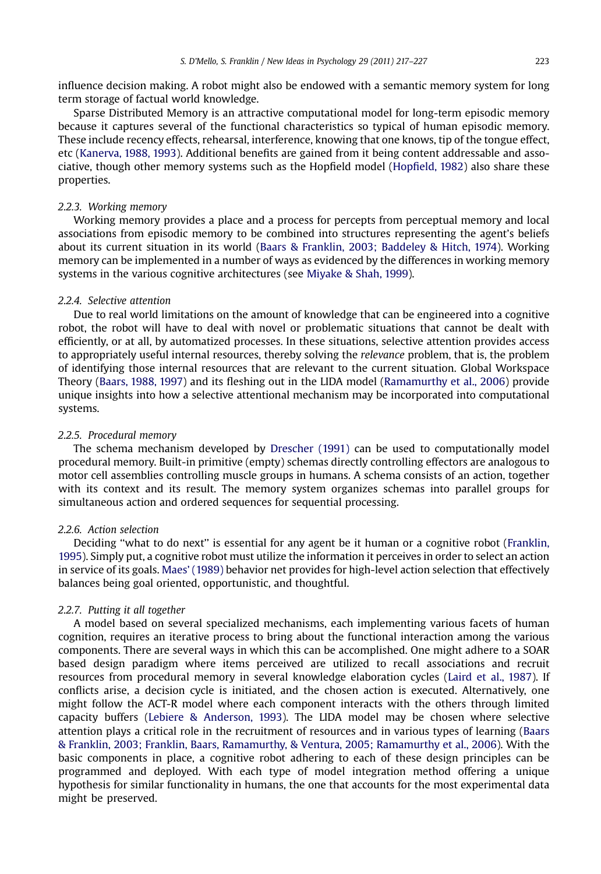influence decision making. A robot might also be endowed with a semantic memory system for long term storage of factual world knowledge.

Sparse Distributed Memory is an attractive computational model for long-term episodic memory because it captures several of the functional characteristics so typical of human episodic memory. These include recency effects, rehearsal, interference, knowing that one knows, tip of the tongue effect, etc [\(Kanerva, 1988, 1993](#page-10-0)). Additional benefits are gained from it being content addressable and associative, though other memory systems such as the Hopfield model ([Hopfield, 1982\)](#page-10-0) also share these properties.

#### 2.2.3. Working memory

Working memory provides a place and a process for percepts from perceptual memory and local associations from episodic memory to be combined into structures representing the agent's beliefs about its current situation in its world ([Baars & Franklin, 2003; Baddeley & Hitch, 1974\)](#page-9-0). Working memory can be implemented in a number of ways as evidenced by the differences in working memory systems in the various cognitive architectures (see [Miyake & Shah, 1999\)](#page-10-0).

#### 2.2.4. Selective attention

Due to real world limitations on the amount of knowledge that can be engineered into a cognitive robot, the robot will have to deal with novel or problematic situations that cannot be dealt with efficiently, or at all, by automatized processes. In these situations, selective attention provides access to appropriately useful internal resources, thereby solving the relevance problem, that is, the problem of identifying those internal resources that are relevant to the current situation. Global Workspace Theory [\(Baars, 1988, 1997](#page-9-0)) and its fleshing out in the LIDA model [\(Ramamurthy et al., 2006](#page-10-0)) provide unique insights into how a selective attentional mechanism may be incorporated into computational systems.

#### 2.2.5. Procedural memory

The schema mechanism developed by [Drescher \(1991\)](#page-9-0) can be used to computationally model procedural memory. Built-in primitive (empty) schemas directly controlling effectors are analogous to motor cell assemblies controlling muscle groups in humans. A schema consists of an action, together with its context and its result. The memory system organizes schemas into parallel groups for simultaneous action and ordered sequences for sequential processing.

## 2.2.6. Action selection

Deciding ''what to do next'' is essential for any agent be it human or a cognitive robot [\(Franklin,](#page-9-0) [1995\)](#page-9-0). Simply put, a cognitive robot must utilize the information it perceives in order to select an action in service of its goals. [Maes' \(1989\)](#page-10-0) behavior net provides for high-level action selection that effectively balances being goal oriented, opportunistic, and thoughtful.

### 2.2.7. Putting it all together

A model based on several specialized mechanisms, each implementing various facets of human cognition, requires an iterative process to bring about the functional interaction among the various components. There are several ways in which this can be accomplished. One might adhere to a SOAR based design paradigm where items perceived are utilized to recall associations and recruit resources from procedural memory in several knowledge elaboration cycles ([Laird et al., 1987](#page-10-0)). If conflicts arise, a decision cycle is initiated, and the chosen action is executed. Alternatively, one might follow the ACT-R model where each component interacts with the others through limited capacity buffers ([Lebiere & Anderson, 1993\)](#page-10-0). The LIDA model may be chosen where selective attention plays a critical role in the recruitment of resources and in various types of learning ([Baars](#page-9-0) [& Franklin, 2003; Franklin, Baars, Ramamurthy, & Ventura, 2005; Ramamurthy et al., 2006\)](#page-9-0). With the basic components in place, a cognitive robot adhering to each of these design principles can be programmed and deployed. With each type of model integration method offering a unique hypothesis for similar functionality in humans, the one that accounts for the most experimental data might be preserved.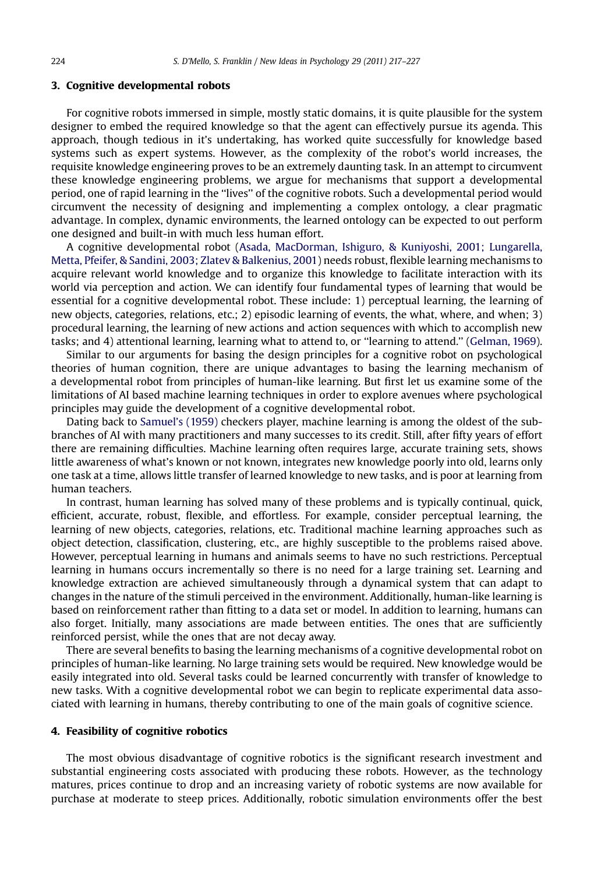#### 3. Cognitive developmental robots

For cognitive robots immersed in simple, mostly static domains, it is quite plausible for the system designer to embed the required knowledge so that the agent can effectively pursue its agenda. This approach, though tedious in it's undertaking, has worked quite successfully for knowledge based systems such as expert systems. However, as the complexity of the robot's world increases, the requisite knowledge engineering proves to be an extremely daunting task. In an attempt to circumvent these knowledge engineering problems, we argue for mechanisms that support a developmental period, one of rapid learning in the ''lives'' of the cognitive robots. Such a developmental period would circumvent the necessity of designing and implementing a complex ontology, a clear pragmatic advantage. In complex, dynamic environments, the learned ontology can be expected to out perform one designed and built-in with much less human effort.

A cognitive developmental robot [\(Asada, MacDorman, Ishiguro, & Kuniyoshi, 2001; Lungarella,](#page-9-0) [Metta, Pfeifer, & Sandini, 2003; Zlatev & Balkenius, 2001](#page-9-0)) needs robust, flexible learning mechanisms to acquire relevant world knowledge and to organize this knowledge to facilitate interaction with its world via perception and action. We can identify four fundamental types of learning that would be essential for a cognitive developmental robot. These include: 1) perceptual learning, the learning of new objects, categories, relations, etc.; 2) episodic learning of events, the what, where, and when; 3) procedural learning, the learning of new actions and action sequences with which to accomplish new tasks; and 4) attentional learning, learning what to attend to, or ''learning to attend.'' [\(Gelman, 1969](#page-9-0)).

Similar to our arguments for basing the design principles for a cognitive robot on psychological theories of human cognition, there are unique advantages to basing the learning mechanism of a developmental robot from principles of human-like learning. But first let us examine some of the limitations of AI based machine learning techniques in order to explore avenues where psychological principles may guide the development of a cognitive developmental robot.

Dating back to [Samuel's \(1959\)](#page-10-0) checkers player, machine learning is among the oldest of the subbranches of AI with many practitioners and many successes to its credit. Still, after fifty years of effort there are remaining difficulties. Machine learning often requires large, accurate training sets, shows little awareness of what's known or not known, integrates new knowledge poorly into old, learns only one task at a time, allows little transfer of learned knowledge to new tasks, and is poor at learning from human teachers.

In contrast, human learning has solved many of these problems and is typically continual, quick, efficient, accurate, robust, flexible, and effortless. For example, consider perceptual learning, the learning of new objects, categories, relations, etc. Traditional machine learning approaches such as object detection, classification, clustering, etc., are highly susceptible to the problems raised above. However, perceptual learning in humans and animals seems to have no such restrictions. Perceptual learning in humans occurs incrementally so there is no need for a large training set. Learning and knowledge extraction are achieved simultaneously through a dynamical system that can adapt to changes in the nature of the stimuli perceived in the environment. Additionally, human-like learning is based on reinforcement rather than fitting to a data set or model. In addition to learning, humans can also forget. Initially, many associations are made between entities. The ones that are sufficiently reinforced persist, while the ones that are not decay away.

There are several benefits to basing the learning mechanisms of a cognitive developmental robot on principles of human-like learning. No large training sets would be required. New knowledge would be easily integrated into old. Several tasks could be learned concurrently with transfer of knowledge to new tasks. With a cognitive developmental robot we can begin to replicate experimental data associated with learning in humans, thereby contributing to one of the main goals of cognitive science.

#### 4. Feasibility of cognitive robotics

The most obvious disadvantage of cognitive robotics is the significant research investment and substantial engineering costs associated with producing these robots. However, as the technology matures, prices continue to drop and an increasing variety of robotic systems are now available for purchase at moderate to steep prices. Additionally, robotic simulation environments offer the best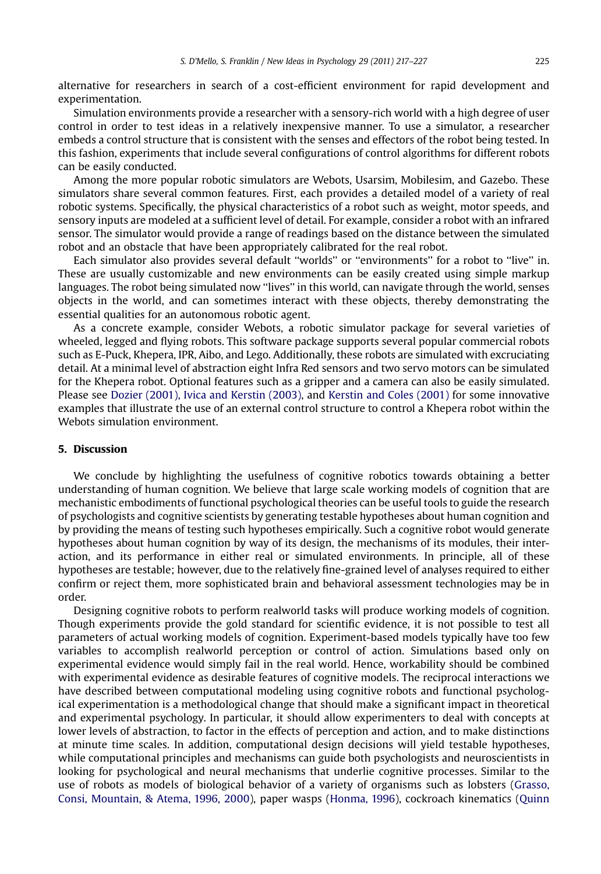alternative for researchers in search of a cost-efficient environment for rapid development and experimentation.

Simulation environments provide a researcher with a sensory-rich world with a high degree of user control in order to test ideas in a relatively inexpensive manner. To use a simulator, a researcher embeds a control structure that is consistent with the senses and effectors of the robot being tested. In this fashion, experiments that include several configurations of control algorithms for different robots can be easily conducted.

Among the more popular robotic simulators are Webots, Usarsim, Mobilesim, and Gazebo. These simulators share several common features. First, each provides a detailed model of a variety of real robotic systems. Specifically, the physical characteristics of a robot such as weight, motor speeds, and sensory inputs are modeled at a sufficient level of detail. For example, consider a robot with an infrared sensor. The simulator would provide a range of readings based on the distance between the simulated robot and an obstacle that have been appropriately calibrated for the real robot.

Each simulator also provides several default ''worlds'' or ''environments'' for a robot to ''live'' in. These are usually customizable and new environments can be easily created using simple markup languages. The robot being simulated now ''lives'' in this world, can navigate through the world, senses objects in the world, and can sometimes interact with these objects, thereby demonstrating the essential qualities for an autonomous robotic agent.

As a concrete example, consider Webots, a robotic simulator package for several varieties of wheeled, legged and flying robots. This software package supports several popular commercial robots such as E-Puck, Khepera, IPR, Aibo, and Lego. Additionally, these robots are simulated with excruciating detail. At a minimal level of abstraction eight Infra Red sensors and two servo motors can be simulated for the Khepera robot. Optional features such as a gripper and a camera can also be easily simulated. Please see [Dozier \(2001\), Ivica and Kerstin \(2003\),](#page-9-0) and [Kerstin and Coles \(2001\)](#page-10-0) for some innovative examples that illustrate the use of an external control structure to control a Khepera robot within the Webots simulation environment.

#### 5. Discussion

We conclude by highlighting the usefulness of cognitive robotics towards obtaining a better understanding of human cognition. We believe that large scale working models of cognition that are mechanistic embodiments of functional psychological theories can be useful tools to guide the research of psychologists and cognitive scientists by generating testable hypotheses about human cognition and by providing the means of testing such hypotheses empirically. Such a cognitive robot would generate hypotheses about human cognition by way of its design, the mechanisms of its modules, their interaction, and its performance in either real or simulated environments. In principle, all of these hypotheses are testable; however, due to the relatively fine-grained level of analyses required to either confirm or reject them, more sophisticated brain and behavioral assessment technologies may be in order.

Designing cognitive robots to perform realworld tasks will produce working models of cognition. Though experiments provide the gold standard for scientific evidence, it is not possible to test all parameters of actual working models of cognition. Experiment-based models typically have too few variables to accomplish realworld perception or control of action. Simulations based only on experimental evidence would simply fail in the real world. Hence, workability should be combined with experimental evidence as desirable features of cognitive models. The reciprocal interactions we have described between computational modeling using cognitive robots and functional psychological experimentation is a methodological change that should make a significant impact in theoretical and experimental psychology. In particular, it should allow experimenters to deal with concepts at lower levels of abstraction, to factor in the effects of perception and action, and to make distinctions at minute time scales. In addition, computational design decisions will yield testable hypotheses, while computational principles and mechanisms can guide both psychologists and neuroscientists in looking for psychological and neural mechanisms that underlie cognitive processes. Similar to the use of robots as models of biological behavior of a variety of organisms such as lobsters ([Grasso,](#page-9-0) [Consi, Mountain, & Atema, 1996, 2000](#page-9-0)), paper wasps ([Honma, 1996\)](#page-10-0), cockroach kinematics ([Quinn](#page-10-0)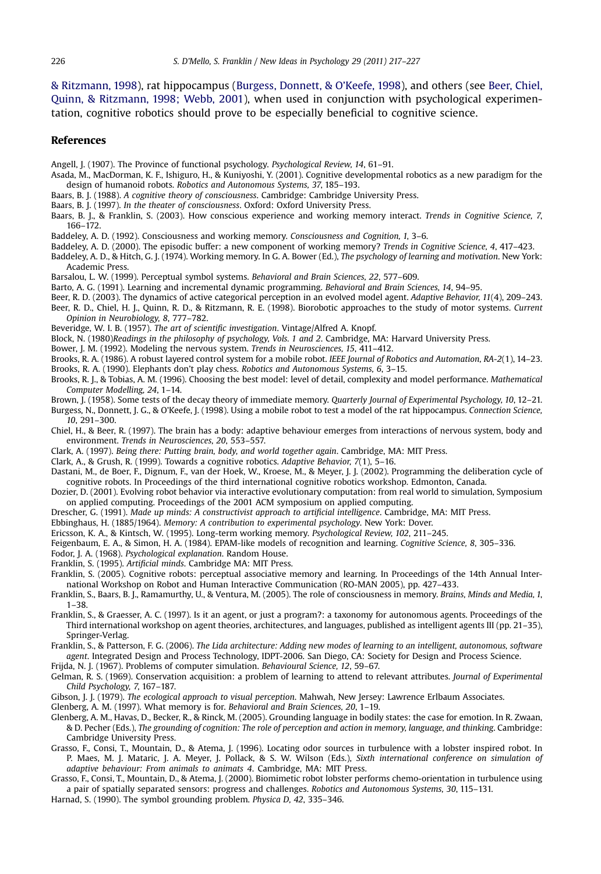<span id="page-9-0"></span>[& Ritzmann, 1998\)](#page-10-0), rat hippocampus (Burgess, Donnett, & O'Keefe, 1998), and others (see Beer, Chiel, Quinn, & Ritzmann, 1998; Webb, 2001), when used in conjunction with psychological experimentation, cognitive robotics should prove to be especially beneficial to cognitive science.

### References

Angell, J. (1907). The Province of functional psychology. Psychological Review, 14, 61–91.

- Asada, M., MacDorman, K. F., Ishiguro, H., & Kuniyoshi, Y. (2001). Cognitive developmental robotics as a new paradigm for the design of humanoid robots. Robotics and Autonomous Systems, 37, 185–193.
- Baars, B. J. (1988). A cognitive theory of consciousness. Cambridge: Cambridge University Press.
- Baars, B. J. (1997). In the theater of consciousness. Oxford: Oxford University Press.
- Baars, B. J., & Franklin, S. (2003). How conscious experience and working memory interact. Trends in Cognitive Science, 7, 166–172.
- Baddeley, A. D. (1992). Consciousness and working memory. Consciousness and Cognition, 1, 3–6.
- Baddeley, A. D. (2000). The episodic buffer: a new component of working memory? Trends in Cognitive Science, 4, 417–423.
- Baddeley, A. D., & Hitch, G. J. (1974). Working memory. In G. A. Bower (Ed.), The psychology of learning and motivation. New York: Academic Press.
- Barsalou, L. W. (1999). Perceptual symbol systems. Behavioral and Brain Sciences, 22, 577–609.
- Barto, A. G. (1991). Learning and incremental dynamic programming. Behavioral and Brain Sciences, 14, 94–95.
- Beer, R. D. (2003). The dynamics of active categorical perception in an evolved model agent. Adaptive Behavior, 11(4), 209–243.
- Beer, R. D., Chiel, H. J., Quinn, R. D., & Ritzmann, R. E. (1998). Biorobotic approaches to the study of motor systems. Current Opinion in Neurobiology, 8, 777–782.
- Beveridge, W. I. B. (1957). The art of scientific investigation. Vintage/Alfred A. Knopf.
- Block, N. (1980)Readings in the philosophy of psychology, Vols. 1 and 2. Cambridge, MA: Harvard University Press.
- Bower, J. M. (1992). Modeling the nervous system. Trends in Neurosciences, 15, 411–412.
- Brooks, R. A. (1986). A robust layered control system for a mobile robot. IEEE Journal of Robotics and Automation, RA-2(1), 14–23. Brooks, R. A. (1990). Elephants don't play chess. Robotics and Autonomous Systems, 6, 3–15.
- Brooks, R. J., & Tobias, A. M. (1996). Choosing the best model: level of detail, complexity and model performance. Mathematical Computer Modelling, 24, 1–14.
- Brown, J. (1958). Some tests of the decay theory of immediate memory. Quarterly Journal of Experimental Psychology, 10, 12–21.
- Burgess, N., Donnett, J. G., & O'Keefe, J. (1998). Using a mobile robot to test a model of the rat hippocampus. Connection Science, 10, 291–300.
- Chiel, H., & Beer, R. (1997). The brain has a body: adaptive behaviour emerges from interactions of nervous system, body and environment. Trends in Neurosciences, 20, 553–557.
- Clark, A. (1997). Being there: Putting brain, body, and world together again. Cambridge, MA: MIT Press.
- Clark, A., & Grush, R. (1999). Towards a cognitive robotics. Adaptive Behavior, 7(1), 5–16.
- Dastani, M., de Boer, F., Dignum, F., van der Hoek, W., Kroese, M., & Meyer, J. J. (2002). Programming the deliberation cycle of cognitive robots. In Proceedings of the third international cognitive robotics workshop. Edmonton, Canada.
- Dozier, D. (2001). Evolving robot behavior via interactive evolutionary computation: from real world to simulation, Symposium on applied computing. Proceedings of the 2001 ACM symposium on applied computing.
- Drescher, G. (1991). Made up minds: A constructivist approach to artificial intelligence. Cambridge, MA: MIT Press.
- Ebbinghaus, H. (1885/1964). Memory: A contribution to experimental psychology. New York: Dover.
- Ericsson, K. A., & Kintsch, W. (1995). Long-term working memory. Psychological Review, 102, 211–245.
- Feigenbaum, E. A., & Simon, H. A. (1984). EPAM-like models of recognition and learning. Cognitive Science, 8, 305–336.
- Fodor, J. A. (1968). Psychological explanation. Random House.
- Franklin, S. (1995). Artificial minds. Cambridge MA: MIT Press.
- Franklin, S. (2005). Cognitive robots: perceptual associative memory and learning. In Proceedings of the 14th Annual International Workshop on Robot and Human Interactive Communication (RO-MAN 2005), pp. 427–433.
- Franklin, S., Baars, B. J., Ramamurthy, U., & Ventura, M. (2005). The role of consciousness in memory. Brains, Minds and Media, 1, 1–38.
- Franklin, S., & Graesser, A. C. (1997). Is it an agent, or just a program?: a taxonomy for autonomous agents. Proceedings of the Third international workshop on agent theories, architectures, and languages, published as intelligent agents III (pp. 21–35), Springer-Verlag.
- Franklin, S., & Patterson, F. G. (2006). The Lida architecture: Adding new modes of learning to an intelligent, autonomous, software agent. Integrated Design and Process Technology, IDPT-2006. San Diego, CA: Society for Design and Process Science.
- Frijda, N. J. (1967). Problems of computer simulation. Behavioural Science, 12, 59–67.
- Gelman, R. S. (1969). Conservation acquisition: a problem of learning to attend to relevant attributes. Journal of Experimental Child Psychology, 7, 167–187.
- Gibson, J. J. (1979). The ecological approach to visual perception. Mahwah, New Jersey: Lawrence Erlbaum Associates.
- Glenberg, A. M. (1997). What memory is for. Behavioral and Brain Sciences, 20, 1–19.
- Glenberg, A. M., Havas, D., Becker, R., & Rinck, M. (2005). Grounding language in bodily states: the case for emotion. In R. Zwaan, & D. Pecher (Eds.), The grounding of cognition: The role of perception and action in memory, language, and thinking. Cambridge: Cambridge University Press.
- Grasso, F., Consi, T., Mountain, D., & Atema, J. (1996). Locating odor sources in turbulence with a lobster inspired robot. In P. Maes, M. J. Mataric, J. A. Meyer, J. Pollack, & S. W. Wilson (Eds.), Sixth international conference on simulation of adaptive behaviour: From animals to animats 4. Cambridge, MA: MIT Press.
- Grasso, F., Consi, T., Mountain, D., & Atema, J. (2000). Biomimetic robot lobster performs chemo-orientation in turbulence using a pair of spatially separated sensors: progress and challenges. Robotics and Autonomous Systems, 30, 115–131.
- Harnad, S. (1990). The symbol grounding problem. Physica D, 42, 335–346.